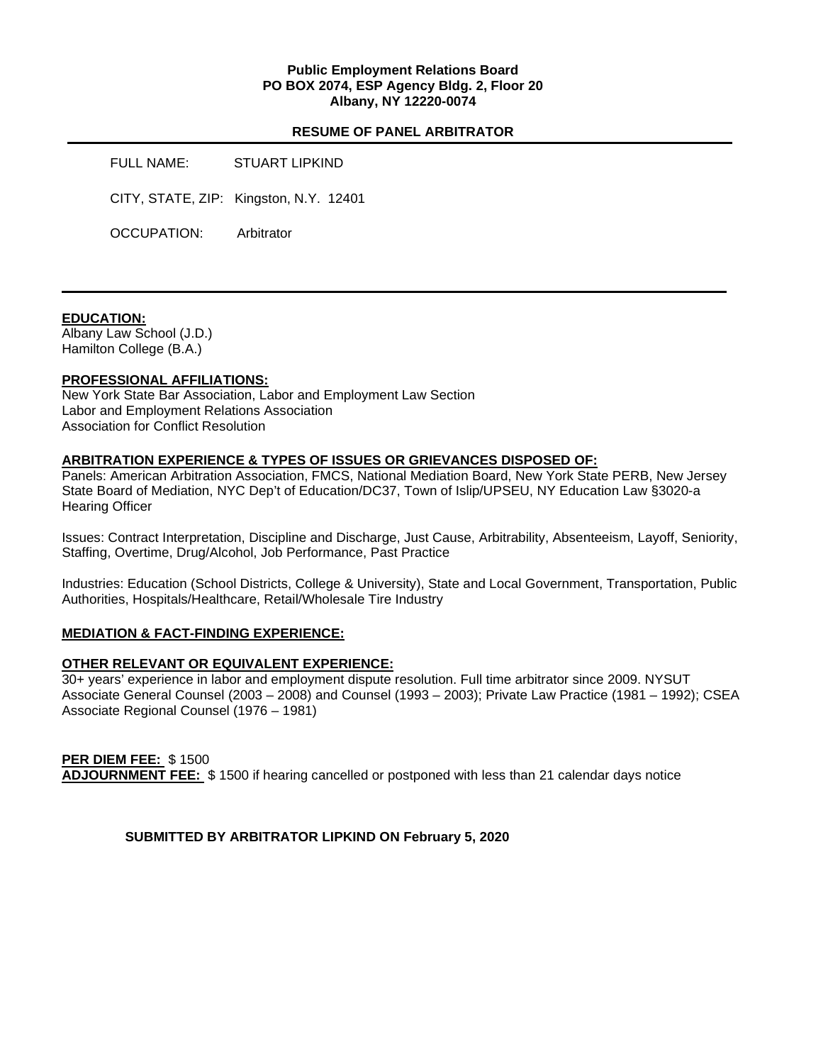# **Public Employment Relations Board PO BOX 2074, ESP Agency Bldg. 2, Floor 20 Albany, NY 12220-0074**

# **RESUME OF PANEL ARBITRATOR**

FULL NAME: STUART LIPKIND CITY, STATE, ZIP: Kingston, N.Y. 12401 OCCUPATION: Arbitrator

#### **EDUCATION:**

Albany Law School (J.D.) Hamilton College (B.A.)

## **PROFESSIONAL AFFILIATIONS:**

New York State Bar Association, Labor and Employment Law Section Labor and Employment Relations Association Association for Conflict Resolution

#### **ARBITRATION EXPERIENCE & TYPES OF ISSUES OR GRIEVANCES DISPOSED OF:**

Panels: American Arbitration Association, FMCS, National Mediation Board, New York State PERB, New Jersey State Board of Mediation, NYC Dep't of Education/DC37, Town of Islip/UPSEU, NY Education Law §3020-a Hearing Officer

Issues: Contract Interpretation, Discipline and Discharge, Just Cause, Arbitrability, Absenteeism, Layoff, Seniority, Staffing, Overtime, Drug/Alcohol, Job Performance, Past Practice

Industries: Education (School Districts, College & University), State and Local Government, Transportation, Public Authorities, Hospitals/Healthcare, Retail/Wholesale Tire Industry

## **MEDIATION & FACT-FINDING EXPERIENCE:**

# **OTHER RELEVANT OR EQUIVALENT EXPERIENCE:**

30+ years' experience in labor and employment dispute resolution. Full time arbitrator since 2009. NYSUT Associate General Counsel (2003 – 2008) and Counsel (1993 – 2003); Private Law Practice (1981 – 1992); CSEA Associate Regional Counsel (1976 – 1981)

# **PER DIEM FEE:** \$ 1500

**ADJOURNMENT FEE:** \$ 1500 if hearing cancelled or postponed with less than 21 calendar days notice

**SUBMITTED BY ARBITRATOR LIPKIND ON February 5, 2020**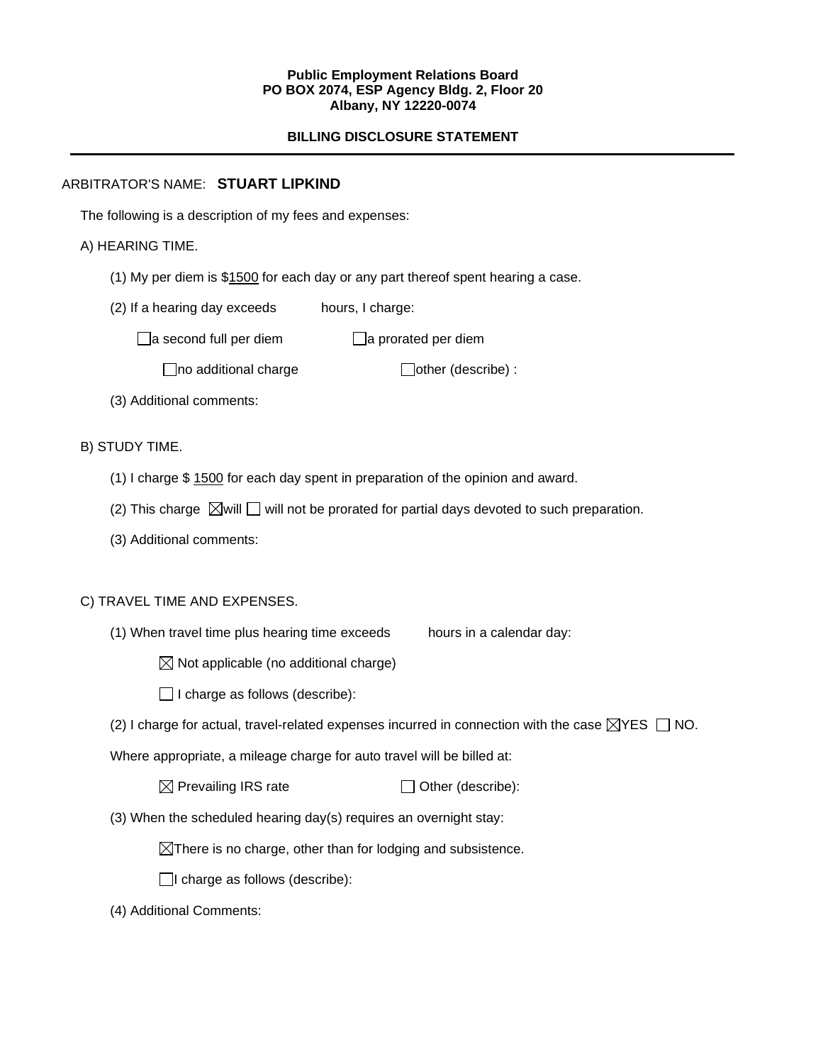#### **Public Employment Relations Board PO BOX 2074, ESP Agency Bldg. 2, Floor 20 Albany, NY 12220-0074**

# **BILLING DISCLOSURE STATEMENT**

# ARBITRATOR'S NAME: **STUART LIPKIND**

The following is a description of my fees and expenses:

# A) HEARING TIME.

- (1) My per diem is \$1500 for each day or any part thereof spent hearing a case.
- (2) If a hearing day exceeds hours, I charge:

 $\Box$ a second full per diem  $\Box$ a prorated per diem

 $\Box$ no additional charge  $\Box$ other (describe) :

(3) Additional comments:

B) STUDY TIME.

- (1) I charge \$ 1500 for each day spent in preparation of the opinion and award.
- (2) This charge  $\boxtimes$  will  $\square$  will not be prorated for partial days devoted to such preparation.
- (3) Additional comments:

## C) TRAVEL TIME AND EXPENSES.

(1) When travel time plus hearing time exceeds hours in a calendar day:

 $\boxtimes$  Not applicable (no additional charge)

 $\Box$  I charge as follows (describe):

(2) I charge for actual, travel-related expenses incurred in connection with the case  $\boxtimes$ YES  $\Box$  NO.

Where appropriate, a mileage charge for auto travel will be billed at:

 $\boxtimes$  Prevailing IRS rate  $\Box$  Other (describe):

(3) When the scheduled hearing day(s) requires an overnight stay:

 $\boxtimes$ There is no charge, other than for lodging and subsistence.

 $\Box$ I charge as follows (describe):

(4) Additional Comments: